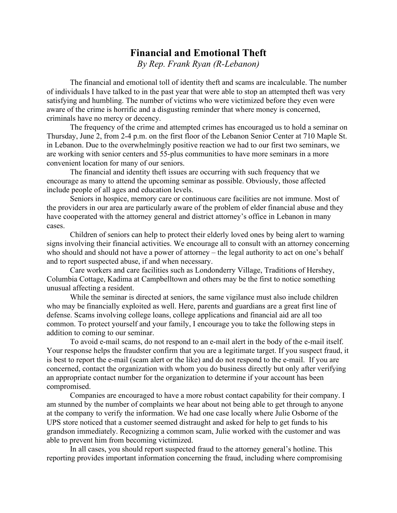## **Financial and Emotional Theft**

*By Rep. Frank Ryan (R-Lebanon)*

The financial and emotional toll of identity theft and scams are incalculable. The number of individuals I have talked to in the past year that were able to stop an attempted theft was very satisfying and humbling. The number of victims who were victimized before they even were aware of the crime is horrific and a disgusting reminder that where money is concerned, criminals have no mercy or decency.

The frequency of the crime and attempted crimes has encouraged us to hold a seminar on Thursday, June 2, from 2-4 p.m. on the first floor of the Lebanon Senior Center at 710 Maple St. in Lebanon. Due to the overwhelmingly positive reaction we had to our first two seminars, we are working with senior centers and 55-plus communities to have more seminars in a more convenient location for many of our seniors.

The financial and identity theft issues are occurring with such frequency that we encourage as many to attend the upcoming seminar as possible. Obviously, those affected include people of all ages and education levels.

Seniors in hospice, memory care or continuous care facilities are not immune. Most of the providers in our area are particularly aware of the problem of elder financial abuse and they have cooperated with the attorney general and district attorney's office in Lebanon in many cases.

Children of seniors can help to protect their elderly loved ones by being alert to warning signs involving their financial activities. We encourage all to consult with an attorney concerning who should and should not have a power of attorney – the legal authority to act on one's behalf and to report suspected abuse, if and when necessary.

Care workers and care facilities such as Londonderry Village, Traditions of Hershey, Columbia Cottage, Kadima at Campbelltown and others may be the first to notice something unusual affecting a resident.

While the seminar is directed at seniors, the same vigilance must also include children who may be financially exploited as well. Here, parents and guardians are a great first line of defense. Scams involving college loans, college applications and financial aid are all too common. To protect yourself and your family, I encourage you to take the following steps in addition to coming to our seminar.

To avoid e-mail scams, do not respond to an e-mail alert in the body of the e-mail itself. Your response helps the fraudster confirm that you are a legitimate target. If you suspect fraud, it is best to report the e-mail (scam alert or the like) and do not respond to the e-mail. If you are concerned, contact the organization with whom you do business directly but only after verifying an appropriate contact number for the organization to determine if your account has been compromised.

Companies are encouraged to have a more robust contact capability for their company. I am stunned by the number of complaints we hear about not being able to get through to anyone at the company to verify the information. We had one case locally where Julie Osborne of the UPS store noticed that a customer seemed distraught and asked for help to get funds to his grandson immediately. Recognizing a common scam, Julie worked with the customer and was able to prevent him from becoming victimized.

In all cases, you should report suspected fraud to the attorney general's hotline. This reporting provides important information concerning the fraud, including where compromising